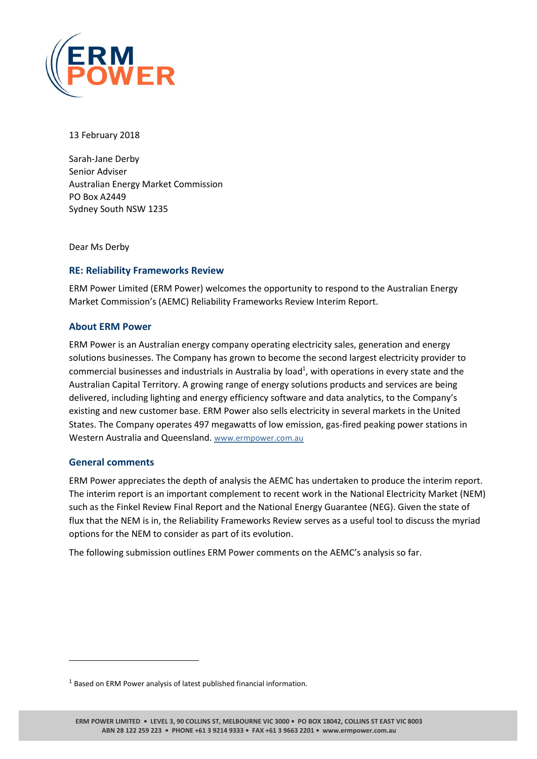

13 February 2018

Sarah-Jane Derby Senior Adviser Australian Energy Market Commission PO Box A2449 Sydney South NSW 1235

Dear Ms Derby

# **RE: Reliability Frameworks Review**

ERM Power Limited (ERM Power) welcomes the opportunity to respond to the Australian Energy Market Commission's (AEMC) Reliability Frameworks Review Interim Report.

# **About ERM Power**

ERM Power is an Australian energy company operating electricity sales, generation and energy solutions businesses. The Company has grown to become the second largest electricity provider to commercial businesses and industrials in Australia by load<sup>1</sup>, with operations in every state and the Australian Capital Territory. A growing range of energy solutions products and services are being delivered, including lighting and energy efficiency software and data analytics, to the Company's existing and new customer base. ERM Power also sells electricity in several markets in the United States. The Company operates 497 megawatts of low emission, gas-fired peaking power stations in Western Australia and Queensland. [www.ermpower.com.au](http://www.ermpower.com.au/)

# **General comments**

 $\overline{a}$ 

ERM Power appreciates the depth of analysis the AEMC has undertaken to produce the interim report. The interim report is an important complement to recent work in the National Electricity Market (NEM) such as the Finkel Review Final Report and the National Energy Guarantee (NEG). Given the state of flux that the NEM is in, the Reliability Frameworks Review serves as a useful tool to discuss the myriad options for the NEM to consider as part of its evolution.

The following submission outlines ERM Power comments on the AEMC's analysis so far.

<sup>&</sup>lt;sup>1</sup> Based on ERM Power analysis of latest published financial information.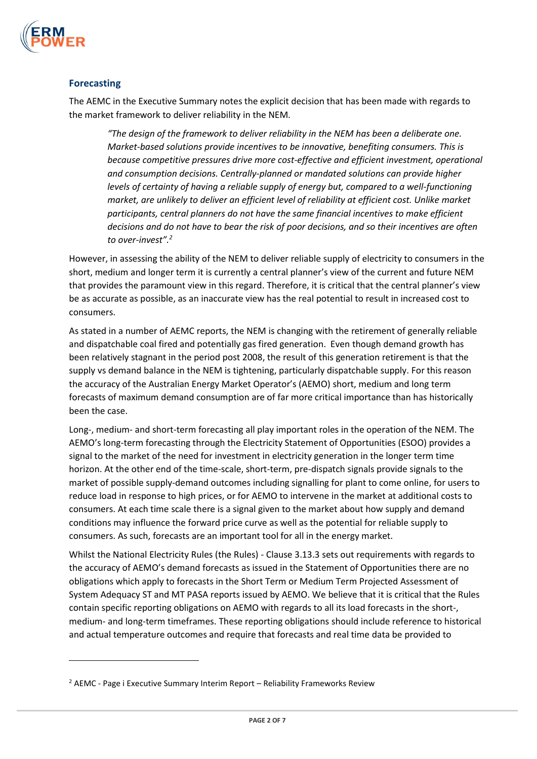

# **Forecasting**

 $\overline{a}$ 

The AEMC in the Executive Summary notes the explicit decision that has been made with regards to the market framework to deliver reliability in the NEM.

*"The design of the framework to deliver reliability in the NEM has been a deliberate one. Market-based solutions provide incentives to be innovative, benefiting consumers. This is because competitive pressures drive more cost-effective and efficient investment, operational and consumption decisions. Centrally-planned or mandated solutions can provide higher levels of certainty of having a reliable supply of energy but, compared to a well-functioning market, are unlikely to deliver an efficient level of reliability at efficient cost. Unlike market participants, central planners do not have the same financial incentives to make efficient decisions and do not have to bear the risk of poor decisions, and so their incentives are often to over-invest".<sup>2</sup>*

However, in assessing the ability of the NEM to deliver reliable supply of electricity to consumers in the short, medium and longer term it is currently a central planner's view of the current and future NEM that provides the paramount view in this regard. Therefore, it is critical that the central planner's view be as accurate as possible, as an inaccurate view has the real potential to result in increased cost to consumers.

As stated in a number of AEMC reports, the NEM is changing with the retirement of generally reliable and dispatchable coal fired and potentially gas fired generation. Even though demand growth has been relatively stagnant in the period post 2008, the result of this generation retirement is that the supply vs demand balance in the NEM is tightening, particularly dispatchable supply. For this reason the accuracy of the Australian Energy Market Operator's (AEMO) short, medium and long term forecasts of maximum demand consumption are of far more critical importance than has historically been the case.

Long-, medium- and short-term forecasting all play important roles in the operation of the NEM. The AEMO's long-term forecasting through the Electricity Statement of Opportunities (ESOO) provides a signal to the market of the need for investment in electricity generation in the longer term time horizon. At the other end of the time-scale, short-term, pre-dispatch signals provide signals to the market of possible supply-demand outcomes including signalling for plant to come online, for users to reduce load in response to high prices, or for AEMO to intervene in the market at additional costs to consumers. At each time scale there is a signal given to the market about how supply and demand conditions may influence the forward price curve as well as the potential for reliable supply to consumers. As such, forecasts are an important tool for all in the energy market.

Whilst the National Electricity Rules (the Rules) - Clause 3.13.3 sets out requirements with regards to the accuracy of AEMO's demand forecasts as issued in the Statement of Opportunities there are no obligations which apply to forecasts in the Short Term or Medium Term Projected Assessment of System Adequacy ST and MT PASA reports issued by AEMO. We believe that it is critical that the Rules contain specific reporting obligations on AEMO with regards to all its load forecasts in the short-, medium- and long-term timeframes. These reporting obligations should include reference to historical and actual temperature outcomes and require that forecasts and real time data be provided to

<sup>&</sup>lt;sup>2</sup> AEMC - Page i Executive Summary Interim Report – Reliability Frameworks Review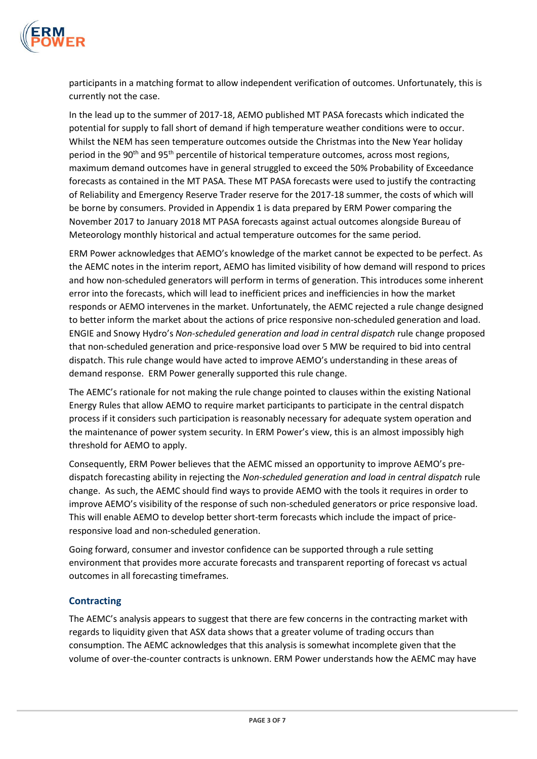

participants in a matching format to allow independent verification of outcomes. Unfortunately, this is currently not the case.

In the lead up to the summer of 2017-18, AEMO published MT PASA forecasts which indicated the potential for supply to fall short of demand if high temperature weather conditions were to occur. Whilst the NEM has seen temperature outcomes outside the Christmas into the New Year holiday period in the 90<sup>th</sup> and 95<sup>th</sup> percentile of historical temperature outcomes, across most regions, maximum demand outcomes have in general struggled to exceed the 50% Probability of Exceedance forecasts as contained in the MT PASA. These MT PASA forecasts were used to justify the contracting of Reliability and Emergency Reserve Trader reserve for the 2017-18 summer, the costs of which will be borne by consumers. Provided in Appendix 1 is data prepared by ERM Power comparing the November 2017 to January 2018 MT PASA forecasts against actual outcomes alongside Bureau of Meteorology monthly historical and actual temperature outcomes for the same period.

ERM Power acknowledges that AEMO's knowledge of the market cannot be expected to be perfect. As the AEMC notes in the interim report, AEMO has limited visibility of how demand will respond to prices and how non-scheduled generators will perform in terms of generation. This introduces some inherent error into the forecasts, which will lead to inefficient prices and inefficiencies in how the market responds or AEMO intervenes in the market. Unfortunately, the AEMC rejected a rule change designed to better inform the market about the actions of price responsive non-scheduled generation and load. ENGIE and Snowy Hydro's *Non-scheduled generation and load in central dispatch* rule change proposed that non-scheduled generation and price-responsive load over 5 MW be required to bid into central dispatch. This rule change would have acted to improve AEMO's understanding in these areas of demand response. ERM Power generally supported this rule change.

The AEMC's rationale for not making the rule change pointed to clauses within the existing National Energy Rules that allow AEMO to require market participants to participate in the central dispatch process if it considers such participation is reasonably necessary for adequate system operation and the maintenance of power system security. In ERM Power's view, this is an almost impossibly high threshold for AEMO to apply.

Consequently, ERM Power believes that the AEMC missed an opportunity to improve AEMO's predispatch forecasting ability in rejecting the *Non-scheduled generation and load in central dispatch* rule change. As such, the AEMC should find ways to provide AEMO with the tools it requires in order to improve AEMO's visibility of the response of such non-scheduled generators or price responsive load. This will enable AEMO to develop better short-term forecasts which include the impact of priceresponsive load and non-scheduled generation.

Going forward, consumer and investor confidence can be supported through a rule setting environment that provides more accurate forecasts and transparent reporting of forecast vs actual outcomes in all forecasting timeframes.

# **Contracting**

The AEMC's analysis appears to suggest that there are few concerns in the contracting market with regards to liquidity given that ASX data shows that a greater volume of trading occurs than consumption. The AEMC acknowledges that this analysis is somewhat incomplete given that the volume of over-the-counter contracts is unknown. ERM Power understands how the AEMC may have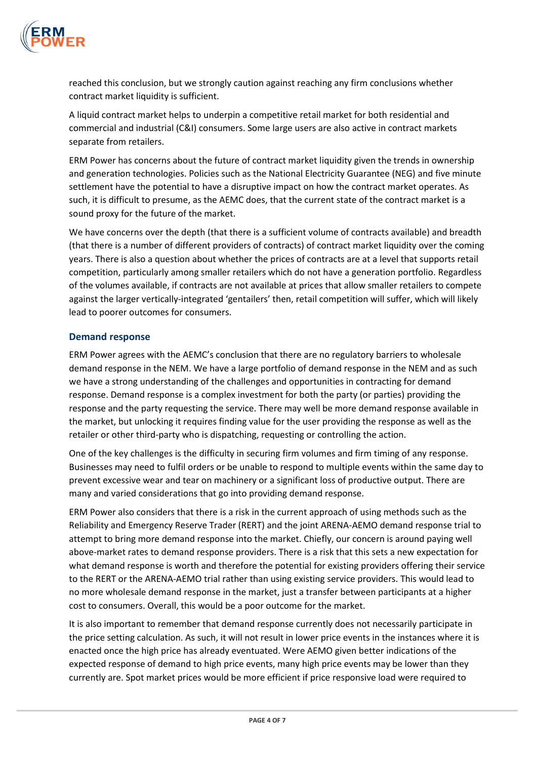

reached this conclusion, but we strongly caution against reaching any firm conclusions whether contract market liquidity is sufficient.

A liquid contract market helps to underpin a competitive retail market for both residential and commercial and industrial (C&I) consumers. Some large users are also active in contract markets separate from retailers.

ERM Power has concerns about the future of contract market liquidity given the trends in ownership and generation technologies. Policies such as the National Electricity Guarantee (NEG) and five minute settlement have the potential to have a disruptive impact on how the contract market operates. As such, it is difficult to presume, as the AEMC does, that the current state of the contract market is a sound proxy for the future of the market.

We have concerns over the depth (that there is a sufficient volume of contracts available) and breadth (that there is a number of different providers of contracts) of contract market liquidity over the coming years. There is also a question about whether the prices of contracts are at a level that supports retail competition, particularly among smaller retailers which do not have a generation portfolio. Regardless of the volumes available, if contracts are not available at prices that allow smaller retailers to compete against the larger vertically-integrated 'gentailers' then, retail competition will suffer, which will likely lead to poorer outcomes for consumers.

#### **Demand response**

ERM Power agrees with the AEMC's conclusion that there are no regulatory barriers to wholesale demand response in the NEM. We have a large portfolio of demand response in the NEM and as such we have a strong understanding of the challenges and opportunities in contracting for demand response. Demand response is a complex investment for both the party (or parties) providing the response and the party requesting the service. There may well be more demand response available in the market, but unlocking it requires finding value for the user providing the response as well as the retailer or other third-party who is dispatching, requesting or controlling the action.

One of the key challenges is the difficulty in securing firm volumes and firm timing of any response. Businesses may need to fulfil orders or be unable to respond to multiple events within the same day to prevent excessive wear and tear on machinery or a significant loss of productive output. There are many and varied considerations that go into providing demand response.

ERM Power also considers that there is a risk in the current approach of using methods such as the Reliability and Emergency Reserve Trader (RERT) and the joint ARENA-AEMO demand response trial to attempt to bring more demand response into the market. Chiefly, our concern is around paying well above-market rates to demand response providers. There is a risk that this sets a new expectation for what demand response is worth and therefore the potential for existing providers offering their service to the RERT or the ARENA-AEMO trial rather than using existing service providers. This would lead to no more wholesale demand response in the market, just a transfer between participants at a higher cost to consumers. Overall, this would be a poor outcome for the market.

It is also important to remember that demand response currently does not necessarily participate in the price setting calculation. As such, it will not result in lower price events in the instances where it is enacted once the high price has already eventuated. Were AEMO given better indications of the expected response of demand to high price events, many high price events may be lower than they currently are. Spot market prices would be more efficient if price responsive load were required to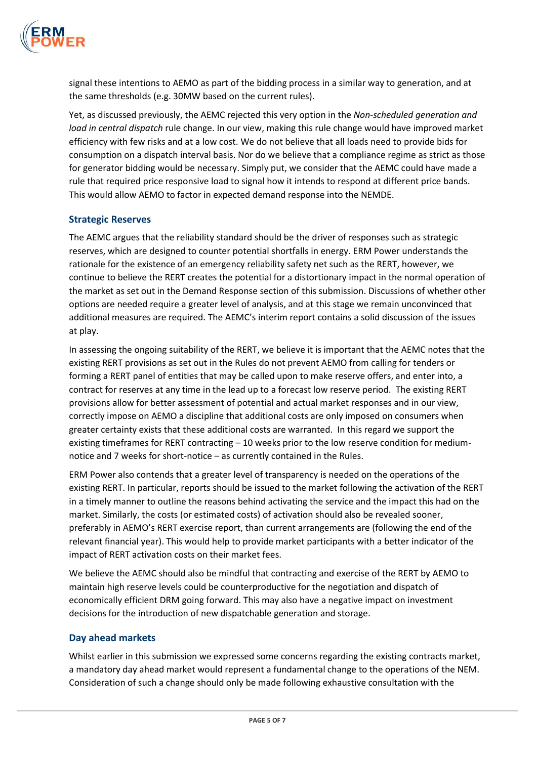

signal these intentions to AEMO as part of the bidding process in a similar way to generation, and at the same thresholds (e.g. 30MW based on the current rules).

Yet, as discussed previously, the AEMC rejected this very option in the *Non-scheduled generation and load in central dispatch* rule change. In our view, making this rule change would have improved market efficiency with few risks and at a low cost. We do not believe that all loads need to provide bids for consumption on a dispatch interval basis. Nor do we believe that a compliance regime as strict as those for generator bidding would be necessary. Simply put, we consider that the AEMC could have made a rule that required price responsive load to signal how it intends to respond at different price bands. This would allow AEMO to factor in expected demand response into the NEMDE.

# **Strategic Reserves**

The AEMC argues that the reliability standard should be the driver of responses such as strategic reserves, which are designed to counter potential shortfalls in energy. ERM Power understands the rationale for the existence of an emergency reliability safety net such as the RERT, however, we continue to believe the RERT creates the potential for a distortionary impact in the normal operation of the market as set out in the Demand Response section of this submission. Discussions of whether other options are needed require a greater level of analysis, and at this stage we remain unconvinced that additional measures are required. The AEMC's interim report contains a solid discussion of the issues at play.

In assessing the ongoing suitability of the RERT, we believe it is important that the AEMC notes that the existing RERT provisions as set out in the Rules do not prevent AEMO from calling for tenders or forming a RERT panel of entities that may be called upon to make reserve offers, and enter into, a contract for reserves at any time in the lead up to a forecast low reserve period. The existing RERT provisions allow for better assessment of potential and actual market responses and in our view, correctly impose on AEMO a discipline that additional costs are only imposed on consumers when greater certainty exists that these additional costs are warranted. In this regard we support the existing timeframes for RERT contracting – 10 weeks prior to the low reserve condition for mediumnotice and 7 weeks for short-notice – as currently contained in the Rules.

ERM Power also contends that a greater level of transparency is needed on the operations of the existing RERT. In particular, reports should be issued to the market following the activation of the RERT in a timely manner to outline the reasons behind activating the service and the impact this had on the market. Similarly, the costs (or estimated costs) of activation should also be revealed sooner, preferably in AEMO's RERT exercise report, than current arrangements are (following the end of the relevant financial year). This would help to provide market participants with a better indicator of the impact of RERT activation costs on their market fees.

We believe the AEMC should also be mindful that contracting and exercise of the RERT by AEMO to maintain high reserve levels could be counterproductive for the negotiation and dispatch of economically efficient DRM going forward. This may also have a negative impact on investment decisions for the introduction of new dispatchable generation and storage.

# **Day ahead markets**

Whilst earlier in this submission we expressed some concerns regarding the existing contracts market, a mandatory day ahead market would represent a fundamental change to the operations of the NEM. Consideration of such a change should only be made following exhaustive consultation with the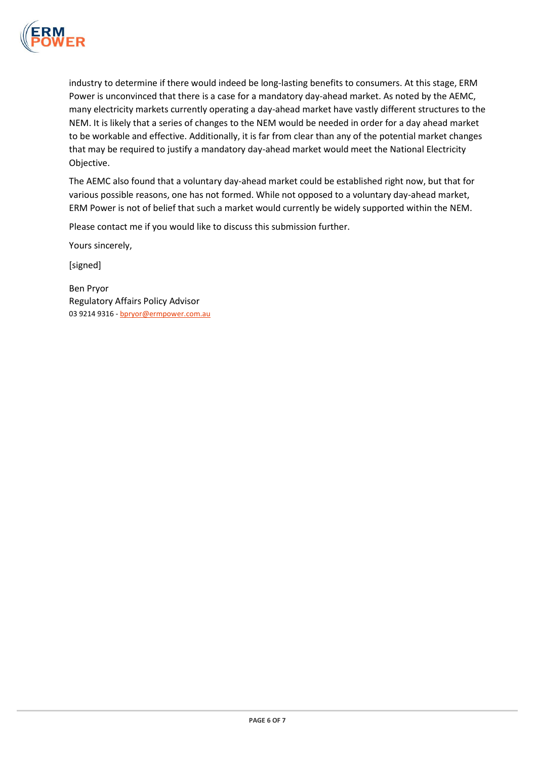

industry to determine if there would indeed be long-lasting benefits to consumers. At this stage, ERM Power is unconvinced that there is a case for a mandatory day-ahead market. As noted by the AEMC, many electricity markets currently operating a day-ahead market have vastly different structures to the NEM. It is likely that a series of changes to the NEM would be needed in order for a day ahead market to be workable and effective. Additionally, it is far from clear than any of the potential market changes that may be required to justify a mandatory day-ahead market would meet the National Electricity Objective.

The AEMC also found that a voluntary day-ahead market could be established right now, but that for various possible reasons, one has not formed. While not opposed to a voluntary day-ahead market, ERM Power is not of belief that such a market would currently be widely supported within the NEM.

Please contact me if you would like to discuss this submission further.

Yours sincerely,

[signed]

Ben Pryor Regulatory Affairs Policy Advisor 03 9214 9316 - bpryor@ermpower.com.au